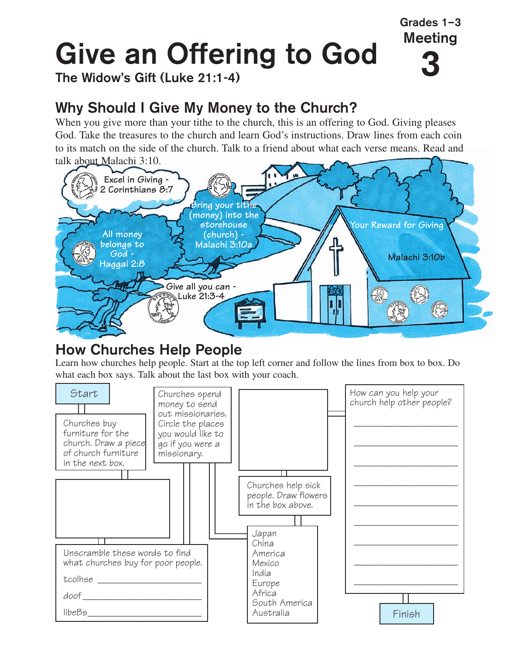# **3 Give an Offering to God**

**The Widow's Gift (Luke 21:1-4)**

# **Why Should I Give My Money to the Church?**

When you give more than your tithe to the church, this is an offering to God. Giving pleases God. Take the treasures to the church and learn God's instructions. Draw lines from each coin to its match on the side of the church. Talk to a friend about what each verse means. Read and talk about Malachi 3:10.

**Grades 1–3 Meeting**



### **How Churches Help People**

Learn how churches help people. Start at the top left corner and follow the lines from box to box. Do what each box says. Talk about the last box with your coach.